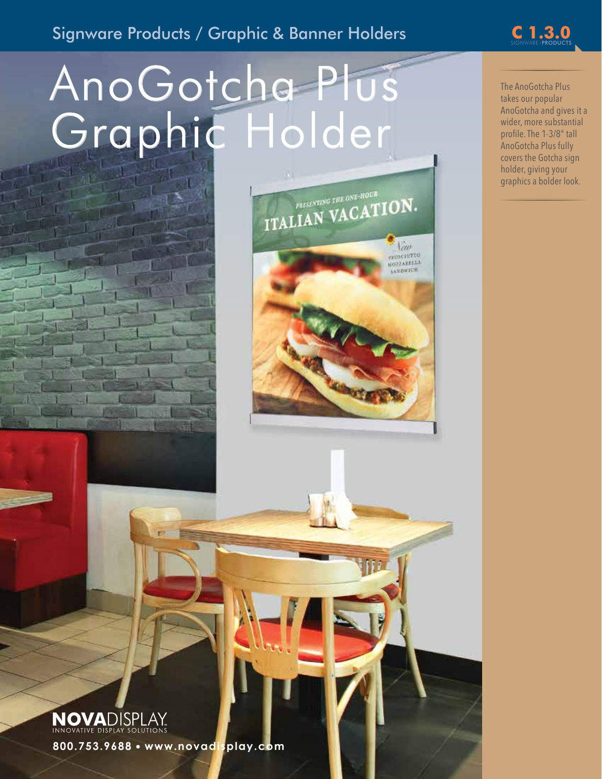# Signware Products / Graphic & Banner Holders

# AnoGotcha Plus Graphic Holder



The AnoGotcha Plus takes our popular AnoGotcha and gives it a wider, more substantial profile. The 1-3/8" tall AnoGotcha Plus fully covers the Gotcha sign holder, giving your graphics a bolder look.

**C 1.3.0** */*



**800.753.9688 www.novadisplay.com**